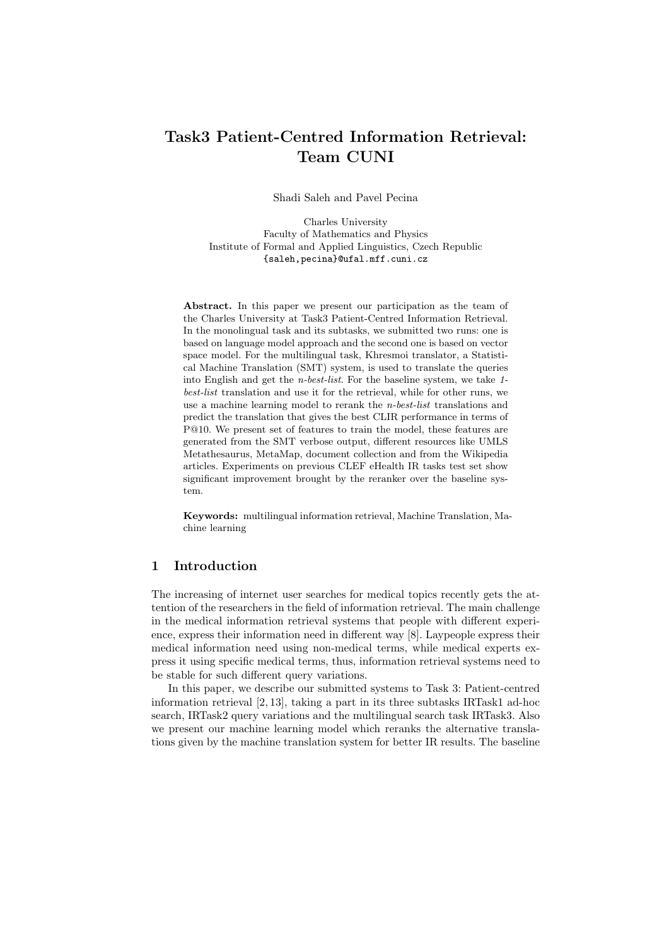# Task3 Patient-Centred Information Retrieval: Team CUNI

Shadi Saleh and Pavel Pecina

Charles University Faculty of Mathematics and Physics Institute of Formal and Applied Linguistics, Czech Republic {saleh,pecina}@ufal.mff.cuni.cz

Abstract. In this paper we present our participation as the team of the Charles University at Task3 Patient-Centred Information Retrieval. In the monolingual task and its subtasks, we submitted two runs: one is based on language model approach and the second one is based on vector space model. For the multilingual task, Khresmoi translator, a Statistical Machine Translation (SMT) system, is used to translate the queries into English and get the n-best-list. For the baseline system, we take 1 best-list translation and use it for the retrieval, while for other runs, we use a machine learning model to rerank the n-best-list translations and predict the translation that gives the best CLIR performance in terms of P@10. We present set of features to train the model, these features are generated from the SMT verbose output, different resources like UMLS Metathesaurus, MetaMap, document collection and from the Wikipedia articles. Experiments on previous CLEF eHealth IR tasks test set show significant improvement brought by the reranker over the baseline system.

Keywords: multilingual information retrieval, Machine Translation, Machine learning

# 1 Introduction

The increasing of internet user searches for medical topics recently gets the attention of the researchers in the field of information retrieval. The main challenge in the medical information retrieval systems that people with different experience, express their information need in different way [8]. Laypeople express their medical information need using non-medical terms, while medical experts express it using specific medical terms, thus, information retrieval systems need to be stable for such different query variations.

In this paper, we describe our submitted systems to Task 3: Patient-centred information retrieval [2, 13], taking a part in its three subtasks IRTask1 ad-hoc search, IRTask2 query variations and the multilingual search task IRTask3. Also we present our machine learning model which reranks the alternative translations given by the machine translation system for better IR results. The baseline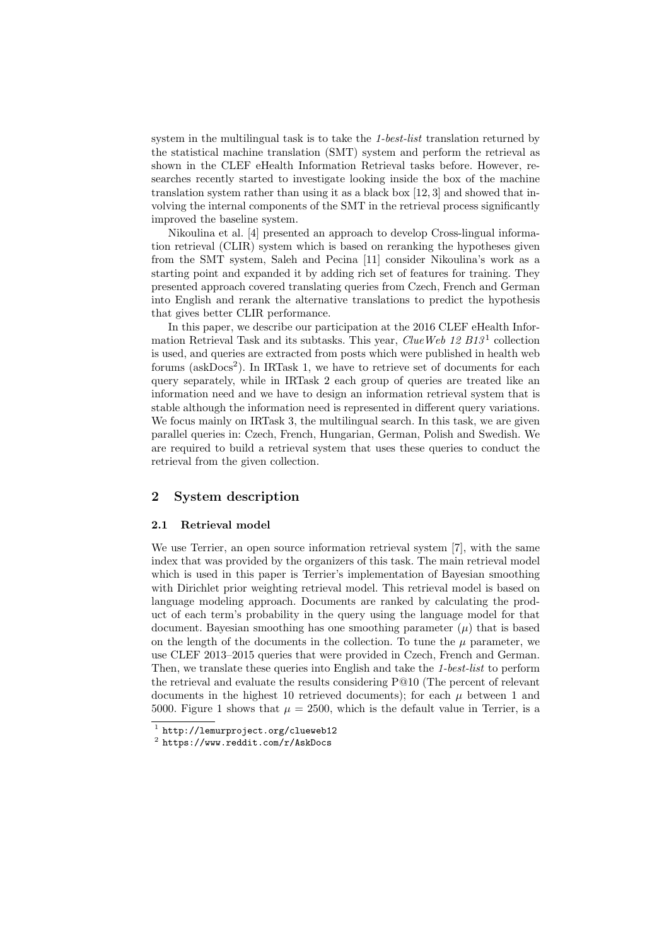system in the multilingual task is to take the 1-best-list translation returned by the statistical machine translation (SMT) system and perform the retrieval as shown in the CLEF eHealth Information Retrieval tasks before. However, researches recently started to investigate looking inside the box of the machine translation system rather than using it as a black box [12, 3] and showed that involving the internal components of the SMT in the retrieval process significantly improved the baseline system.

Nikoulina et al. [4] presented an approach to develop Cross-lingual information retrieval (CLIR) system which is based on reranking the hypotheses given from the SMT system, Saleh and Pecina [11] consider Nikoulina's work as a starting point and expanded it by adding rich set of features for training. They presented approach covered translating queries from Czech, French and German into English and rerank the alternative translations to predict the hypothesis that gives better CLIR performance.

In this paper, we describe our participation at the 2016 CLEF eHealth Information Retrieval Task and its subtasks. This year, *ClueWeb*  $12 B13<sup>1</sup>$  collection is used, and queries are extracted from posts which were published in health web forums ( $askDoes<sup>2</sup>$ ). In IRTask 1, we have to retrieve set of documents for each query separately, while in IRTask 2 each group of queries are treated like an information need and we have to design an information retrieval system that is stable although the information need is represented in different query variations. We focus mainly on IRTask 3, the multilingual search. In this task, we are given parallel queries in: Czech, French, Hungarian, German, Polish and Swedish. We are required to build a retrieval system that uses these queries to conduct the retrieval from the given collection.

# 2 System description

## 2.1 Retrieval model

We use Terrier, an open source information retrieval system [7], with the same index that was provided by the organizers of this task. The main retrieval model which is used in this paper is Terrier's implementation of Bayesian smoothing with Dirichlet prior weighting retrieval model. This retrieval model is based on language modeling approach. Documents are ranked by calculating the product of each term's probability in the query using the language model for that document. Bayesian smoothing has one smoothing parameter  $(\mu)$  that is based on the length of the documents in the collection. To tune the  $\mu$  parameter, we use CLEF 2013–2015 queries that were provided in Czech, French and German. Then, we translate these queries into English and take the 1-best-list to perform the retrieval and evaluate the results considering P@10 (The percent of relevant documents in the highest 10 retrieved documents); for each  $\mu$  between 1 and 5000. Figure 1 shows that  $\mu = 2500$ , which is the default value in Terrier, is a

<sup>1</sup> http://lemurproject.org/clueweb12

 $^2$  https://www.reddit.com/r/AskDocs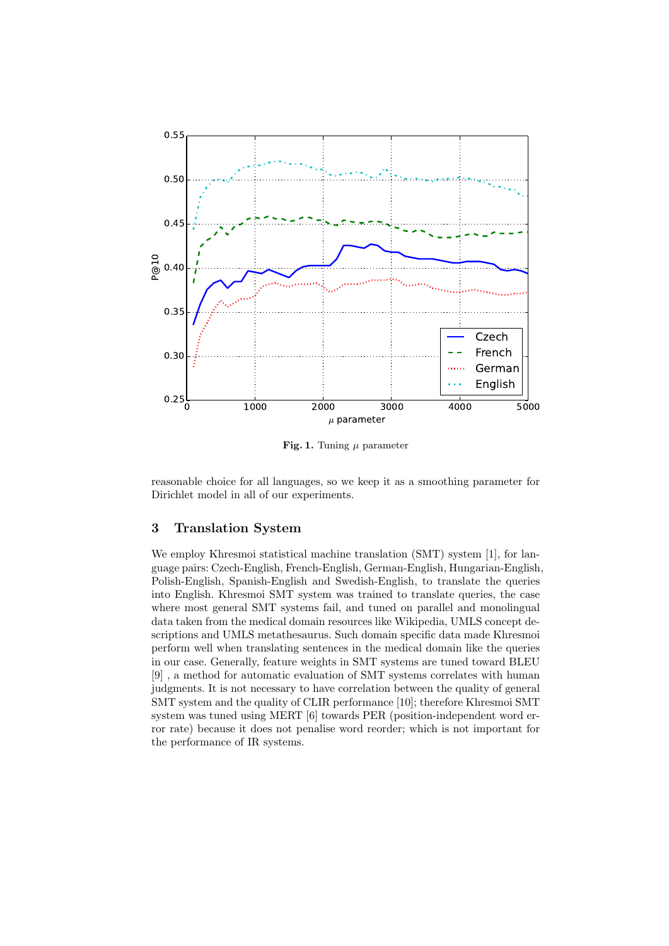

Fig. 1. Tuning  $\mu$  parameter

reasonable choice for all languages, so we keep it as a smoothing parameter for Dirichlet model in all of our experiments.

# 3 Translation System

We employ Khresmoi statistical machine translation (SMT) system [1], for language pairs: Czech-English, French-English, German-English, Hungarian-English, Polish-English, Spanish-English and Swedish-English, to translate the queries into English. Khresmoi SMT system was trained to translate queries, the case where most general SMT systems fail, and tuned on parallel and monolingual data taken from the medical domain resources like Wikipedia, UMLS concept descriptions and UMLS metathesaurus. Such domain specific data made Khresmoi perform well when translating sentences in the medical domain like the queries in our case. Generally, feature weights in SMT systems are tuned toward BLEU [9] , a method for automatic evaluation of SMT systems correlates with human judgments. It is not necessary to have correlation between the quality of general SMT system and the quality of CLIR performance [10]; therefore Khresmoi SMT system was tuned using MERT [6] towards PER (position-independent word error rate) because it does not penalise word reorder; which is not important for the performance of IR systems.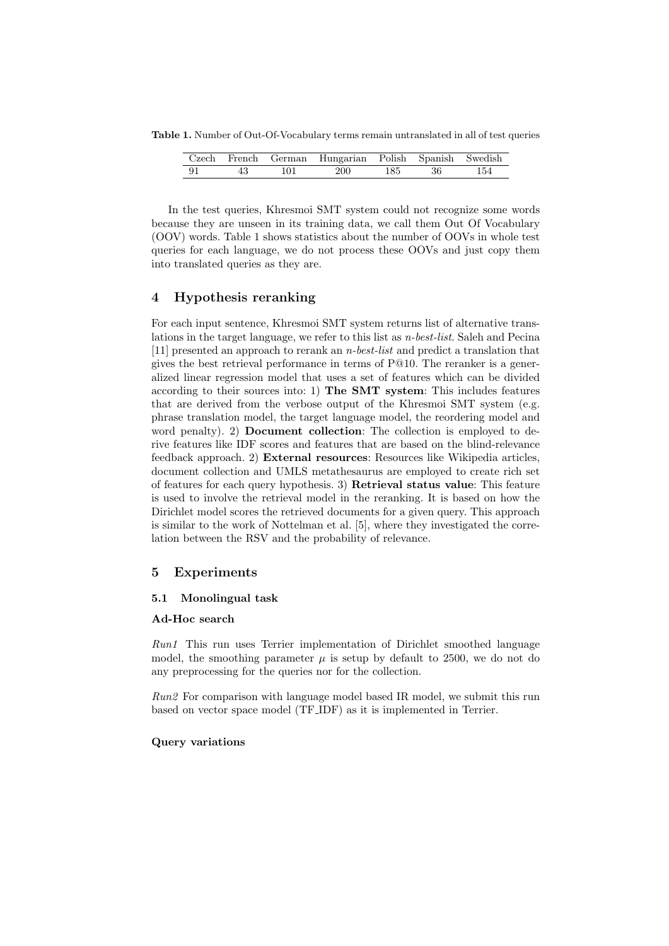Table 1. Number of Out-Of-Vocabulary terms remain untranslated in all of test queries

|      |    |     | Czech French German Hungarian Polish Spanish Swedish |  |     |
|------|----|-----|------------------------------------------------------|--|-----|
| - 91 | 43 | 101 | 200 185 36                                           |  | 154 |

In the test queries, Khresmoi SMT system could not recognize some words because they are unseen in its training data, we call them Out Of Vocabulary (OOV) words. Table 1 shows statistics about the number of OOVs in whole test queries for each language, we do not process these OOVs and just copy them into translated queries as they are.

# 4 Hypothesis reranking

For each input sentence, Khresmoi SMT system returns list of alternative translations in the target language, we refer to this list as n-best-list. Saleh and Pecina [11] presented an approach to rerank an n-best-list and predict a translation that gives the best retrieval performance in terms of P@10. The reranker is a generalized linear regression model that uses a set of features which can be divided according to their sources into: 1) The SMT system: This includes features that are derived from the verbose output of the Khresmoi SMT system (e.g. phrase translation model, the target language model, the reordering model and word penalty). 2) Document collection: The collection is employed to derive features like IDF scores and features that are based on the blind-relevance feedback approach. 2) External resources: Resources like Wikipedia articles, document collection and UMLS metathesaurus are employed to create rich set of features for each query hypothesis. 3) Retrieval status value: This feature is used to involve the retrieval model in the reranking. It is based on how the Dirichlet model scores the retrieved documents for a given query. This approach is similar to the work of Nottelman et al. [5], where they investigated the correlation between the RSV and the probability of relevance.

## 5 Experiments

#### 5.1 Monolingual task

#### Ad-Hoc search

Run1 This run uses Terrier implementation of Dirichlet smoothed language model, the smoothing parameter  $\mu$  is setup by default to 2500, we do not do any preprocessing for the queries nor for the collection.

 $Run2$  For comparison with language model based IR model, we submit this run based on vector space model (TF IDF) as it is implemented in Terrier.

### Query variations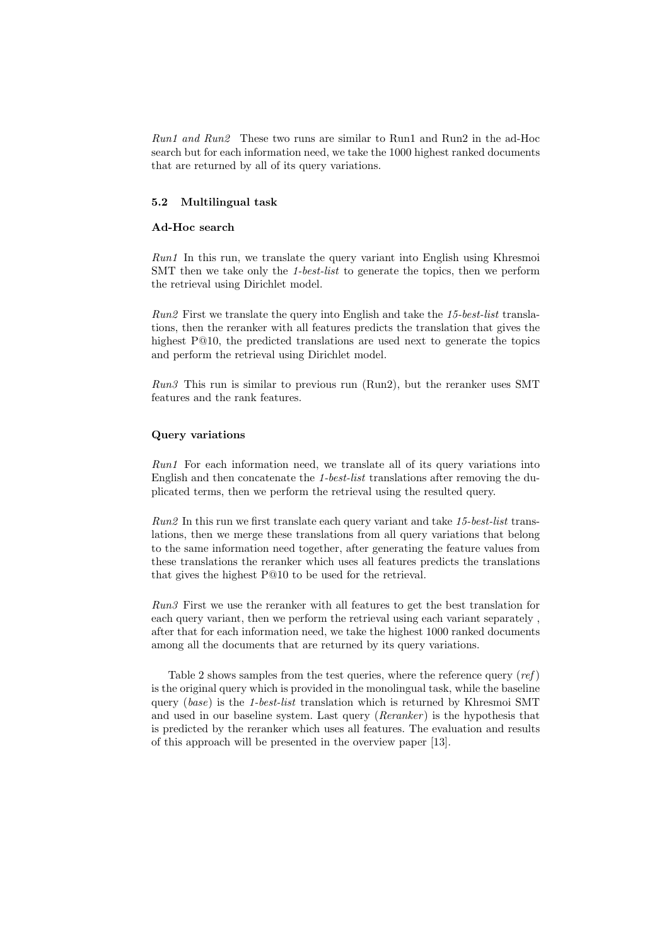Run1 and Run2 These two runs are similar to Run1 and Run2 in the ad-Hoc search but for each information need, we take the 1000 highest ranked documents that are returned by all of its query variations.

# 5.2 Multilingual task

## Ad-Hoc search

Run1 In this run, we translate the query variant into English using Khresmoi SMT then we take only the 1-best-list to generate the topics, then we perform the retrieval using Dirichlet model.

Run2 First we translate the query into English and take the 15-best-list translations, then the reranker with all features predicts the translation that gives the highest P@10, the predicted translations are used next to generate the topics and perform the retrieval using Dirichlet model.

Run3 This run is similar to previous run (Run2), but the reranker uses SMT features and the rank features.

#### Query variations

Run1 For each information need, we translate all of its query variations into English and then concatenate the 1-best-list translations after removing the duplicated terms, then we perform the retrieval using the resulted query.

Run2 In this run we first translate each query variant and take 15-best-list translations, then we merge these translations from all query variations that belong to the same information need together, after generating the feature values from these translations the reranker which uses all features predicts the translations that gives the highest P@10 to be used for the retrieval.

Run3 First we use the reranker with all features to get the best translation for each query variant, then we perform the retrieval using each variant separately , after that for each information need, we take the highest 1000 ranked documents among all the documents that are returned by its query variations.

Table 2 shows samples from the test queries, where the reference query  $(ref)$ is the original query which is provided in the monolingual task, while the baseline query (base) is the 1-best-list translation which is returned by Khresmoi SMT and used in our baseline system. Last query  $(Reranker)$  is the hypothesis that is predicted by the reranker which uses all features. The evaluation and results of this approach will be presented in the overview paper [13].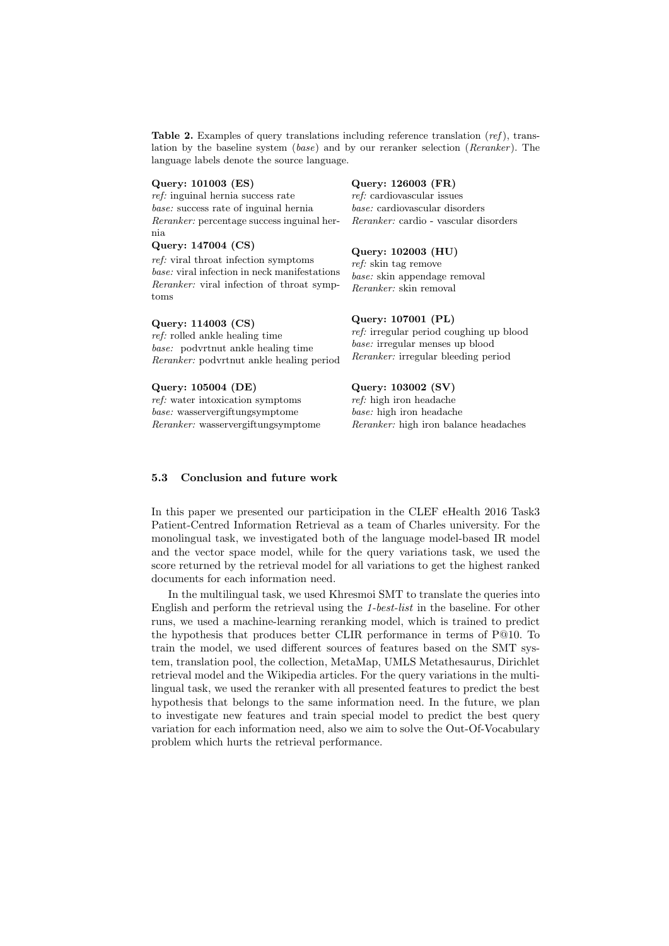**Table 2.** Examples of query translations including reference translation  $ref$ ), translation by the baseline system  $(base)$  and by our reranker selection (*Reranker*). The language labels denote the source language.

#### Query: 101003 (ES)

ref: inguinal hernia success rate base: success rate of inguinal hernia Reranker: percentage success inguinal hernia

#### Query: 147004 (CS)

ref: viral throat infection symptoms base: viral infection in neck manifestations Reranker: viral infection of throat symptoms

#### Query: 114003 (CS)

ref: rolled ankle healing time base: podvrtnut ankle healing time Reranker: podvrtnut ankle healing period

#### Query: 105004 (DE)

ref: water intoxication symptoms base: wasservergiftungsymptome Reranker: wasservergiftungsymptome

#### Query: 126003 (FR)

ref: cardiovascular issues base: cardiovascular disorders Reranker: cardio - vascular disorders

# Query: 102003 (HU)

ref: skin tag remove base: skin appendage removal Reranker: skin removal

#### Query: 107001 (PL)

ref: irregular period coughing up blood base: irregular menses up blood Reranker: irregular bleeding period

# Query: 103002 (SV)

ref: high iron headache base: high iron headache Reranker: high iron balance headaches

#### 5.3 Conclusion and future work

In this paper we presented our participation in the CLEF eHealth 2016 Task3 Patient-Centred Information Retrieval as a team of Charles university. For the monolingual task, we investigated both of the language model-based IR model and the vector space model, while for the query variations task, we used the score returned by the retrieval model for all variations to get the highest ranked documents for each information need.

In the multilingual task, we used Khresmoi SMT to translate the queries into English and perform the retrieval using the 1-best-list in the baseline. For other runs, we used a machine-learning reranking model, which is trained to predict the hypothesis that produces better CLIR performance in terms of P@10. To train the model, we used different sources of features based on the SMT system, translation pool, the collection, MetaMap, UMLS Metathesaurus, Dirichlet retrieval model and the Wikipedia articles. For the query variations in the multilingual task, we used the reranker with all presented features to predict the best hypothesis that belongs to the same information need. In the future, we plan to investigate new features and train special model to predict the best query variation for each information need, also we aim to solve the Out-Of-Vocabulary problem which hurts the retrieval performance.